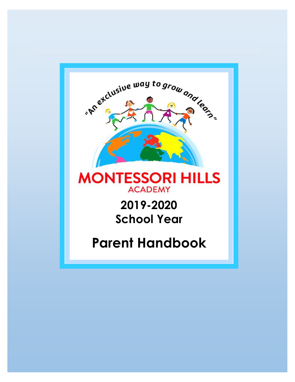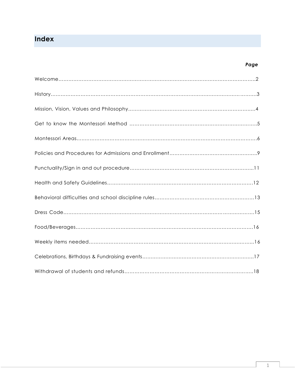## **Index**

#### *Page*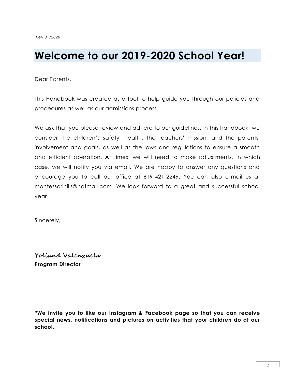# **Welcome to our 2019-2020 School Year!**

Dear Parents,

This Handbook was created as a tool to help guide you through our policies and procedures as well as our admissions process.

We ask that you please review and adhere to our guidelines. In this handbook, we consider the children's safety, health, the teachers' mission, and the parents' involvement and goals, as well as the laws and regulations to ensure a smooth and efficient operation. At times, we will need to make adjustments, in which case, we will notify you via email. We are happy to answer any questions and encourage you to call our office at 619-421-2249. You can also e-mail us at montessorihills@hotmail.com. We look forward to a great and successful school year.

Sincerely,

**Yoliand Valenzuela Program Director**

**\*We invite you to like our Instagram & Facebook page so that you can receive special news, notifications and pictures on activities that your children do at our school.**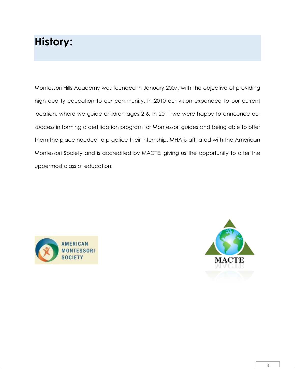# **History:**

Montessori Hills Academy was founded in January 2007, with the objective of providing high quality education to our community. In 2010 our vision expanded to our current location, where we guide children ages 2-6. In 2011 we were happy to announce our success in forming a certification program for Montessori guides and being able to offer them the place needed to practice their internship. MHA is affiliated with the American Montessori Society and is accredited by MACTE, giving us the opportunity to offer the uppermost class of education.



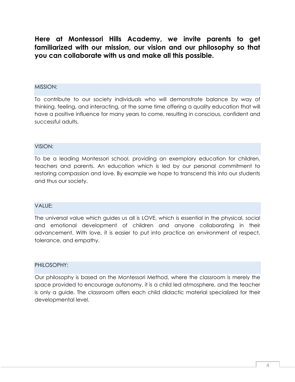**Here at Montessori Hills Academy, we invite parents to get familiarized with our mission, our vision and our philosophy so that you can collaborate with us and make all this possible.** 

#### MISSION:

To contribute to our society individuals who will demonstrate balance by way of thinking, feeling, and interacting, at the same time offering a quality education that will have a positive influence for many years to come, resulting in conscious, confident and successful adults.

#### VISION:

To be a leading Montessori school, providing an exemplary education for children, teachers and parents. An education which is led by our personal commitment to restoring compassion and love. By example we hope to transcend this into our students and thus our society.

#### VALUE:

The universal value which guides us all is LOVE, which is essential in the physical, social and emotional development of children and anyone collaborating in their advancement. With love, it is easier to put into practice an environment of respect, tolerance, and empathy.

#### PHILOSOPHY:

Our philosophy is based on the Montessori Method, where the classroom is merely the space provided to encourage autonomy, it is a child led atmosphere, and the teacher is only a guide. The classroom offers each child didactic material specialized for their developmental level.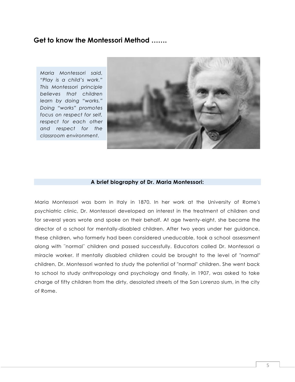## **Get to know the Montessori Method …….**

*Maria Montessori said, "Play is a child's work." This Montessori principle believes that children learn by doing "works." Doing "works" promotes focus on respect for self, respect for each other and respect for the classroom environment.*



#### **A brief biography of Dr. Maria Montessori:**

Maria Montessori was born in Italy in 1870. In her work at the University of Rome's psychiatric clinic, Dr. Montessori developed an interest in the treatment of children and for several years wrote and spoke on their behalf. At age twenty-eight, she became the director of a school for mentally-disabled children. After two years under her guidance, these children, who formerly had been considered uneducable, took a school assessment along with ¨normal¨ children and passed successfully. Educators called Dr. Montessori a miracle worker. If mentally disabled children could be brought to the level of "normal" children, Dr. Montessori wanted to study the potential of "normal" children. She went back to school to study anthropology and psychology and finally, in 1907, was asked to take charge of fifty children from the dirty, desolated streets of the San Lorenzo slum, in the city of Rome.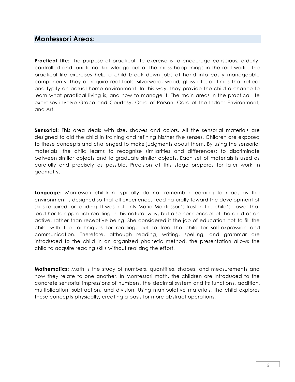## **Montessori Areas:**

**Practical Life:** The purpose of practical life exercise is to encourage conscious, orderly, controlled and functional knowledge out of the mass happenings in the real world. The practical life exercises help a child break down jobs at hand into easily manageable components. They all require real tools: silverware, wood, glass etc.-all times that reflect and typify an actual home environment. In this way, they provide the child a chance to learn what practical living is, and how to manage it. The main areas in the practical life exercises involve Grace and Courtesy, Care of Person, Care of the Indoor Environment, and Art.

**Sensorial:** This area deals with size, shapes and colors. All the sensorial materials are designed to aid the child in training and refining his/her five senses. Children are exposed to these concepts and challenged to make judgments about them. By using the sensorial materials, the child learns to recognize similarities and differences; to discriminate between similar objects and to graduate similar objects. Each set of materials is used as carefully and precisely as possible. Precision at this stage prepares for later work in geometry.

**Language:** Montessori children typically do not remember learning to read, as the environment is designed so that all experiences feed naturally toward the development of skills required for reading. It was not only Maria Montessori's trust in the child's power that lead her to approach reading in this natural way, but also her concept of the child as an active, rather than receptive being. She considered it the job of education not to fill the child with the techniques for reading, but to free the child for self-expression and communication. Therefore, although reading, writing, spelling, and grammar are introduced to the child in an organized phonetic method, the presentation allows the child to acquire reading skills without realizing the effort.

**Mathematics:** Math is the study of numbers, quantities, shapes, and measurements and how they relate to one another. In Montessori math, the children are introduced to the concrete sensorial impressions of numbers, the decimal system and its functions, addition, multiplication, subtraction, and division. Using manipulative materials, the child explores these concepts physically, creating a basis for more abstract operations.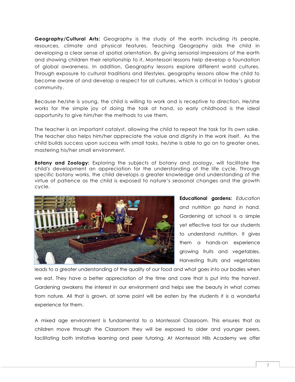**Geography/Cultural Arts:** Geography is the study of the earth including its people, resources, climate and physical features. Teaching Geography aids the child in developing a clear sense of spatial orientation. By giving sensorial impressions of the earth and showing children their relationship to it, Montessori lessons help develop a foundation of global awareness. In addition, Geography lessons explore different world cultures. Through exposure to cultural traditions and lifestyles, geography lessons allow the child to become aware of and develop a respect for all cultures, which is critical in today's global community.

Because he/she is young, the child is willing to work and is receptive to direction. He/she works for the simple joy of doing the task at hand, so early childhood is the ideal opportunity to give him/her the methods to use them.

The teacher is an important catalyst, allowing the child to repeat the task for its own sake. The teacher also helps him/her appreciate the value and dignity in the work itself. As the child builds success upon success with small tasks, he/she is able to go on to greater ones, mastering his/her small environment.

**Botany and Zoology:** Exploring the subjects of botany and zoology, will facilitate the child's development an appreciation for the understanding of the life cycle. Through specific botany works, the child develops a greater knowledge and understanding of the virtue of patience as the child is exposed to nature's seasonal changes and the growth cycle.



**Educational gardens:** *Education and nutrition go hand in hand.* Gardening at school is a simple yet effective tool for our students to understand nutrition. It gives them a hands-on experience growing fruits and vegetables. Harvesting fruits and vegetables

leads to a greater understanding of the quality of our food and what goes into our bodies when we eat. They have a better appreciation of the time and care that is put into the harvest. Gardening awakens the interest in our environment and helps see the beauty in what comes from nature. All that is grown, at some point will be eaten by the students it is a wonderful experience for them.

A mixed age environment is fundamental to a Montessori Classroom. This ensures that as children move through the Classroom they will be exposed to older and younger peers, facilitating both imitative learning and peer tutoring. At Montessori Hills Academy we offer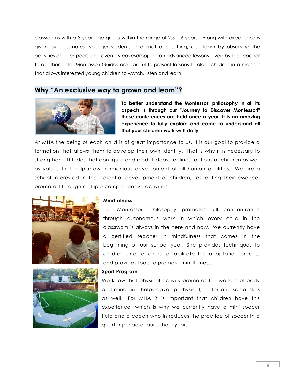classrooms with a 3-year age group within the range of  $2.5 - 6$  years. Along with direct lessons given by classmates, younger students in a multi-age setting, also learn by observing the activities of older peers and even by eavesdropping on advanced lessons given by the teacher to another child. Montessori Guides are careful to present lessons to older children in a manner that allows interested young children to watch, listen and learn.

## **Why "An exclusive way to grown and learn"?**



**To better understand the Montessori philosophy in all its aspects is through our "Journey to Discover Montessori" these conferences are held once a year. It is an amazing experience to fully explore and come to understand all that your children work with daily.**

At MHA the being of each child is of great importance to us. It is our goal to provide a formation that allows them to develop their own identity. That is why it is necessary to strengthen attitudes that configure and model ideas, feelings, actions of children as well as values that help grow harmonious development of all human qualities. We are a school interested in the potential development of children, respecting their essence, promoted through multiple comprehensive activities.





#### **Mindfulness**

The Montessori philosophy promotes full concentration through autonomous work in which every child in the classroom is always in the here and now. We currently have a certified teacher in mindfulness that comes in the beginning of our school year. She provides techniques to children and teachers to facilitate the adaptation process and provides tools to promote mindfulness.

#### **Sport Program**

We know that physical activity promotes the welfare of body and mind and helps develop physical, motor and social skills as well. For MHA it is important that children have this experience, which is why we currently have a mini soccer field and a coach who introduces the practice of soccer in a quarter period of our school year.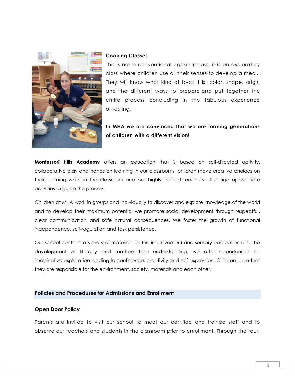

#### **Cooking Classes**

This is not a conventional cooking class; it is an exploratory class where children use all their senses to develop a meal. They will know what kind of food it is, color, shape, origin and the different ways to prepare and put together the entire process concluding in the fabulous experience of tasting.

### **In MHA we are convinced that we are forming generations of children with a different vision!**

**Montessori Hills Academy** offers an education that is based on self-directed activity, collaborative play and hands on learning in our classrooms, children make creative choices on their learning while in the classroom and our highly trained teachers offer age appropriate activities to guide the process.

Children at MHA work in groups and individually to discover and explore knowledge of the world and to develop their maximum potential we promote social development through respectful, clear communication and safe natural consequences. We foster the growth of functional independence, self-regulation and task persistence.

Our school contains a variety of materials for the improvement and sensory perception and the development of literacy and mathematical understanding, we offer opportunities for imaginative exploration leading to confidence, creativity and self-expression. Children learn that they are responsible for the environment, society, materials and each other.

#### **Policies and Procedures for Admissions and Enrollment**

#### **Open Door Policy**

Parents are invited to visit our school to meet our certified and trained staff and to observe our teachers and students in the classroom prior to enrollment. Through the tour,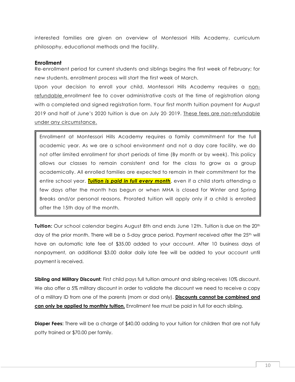interested families are given an overview of Montessori Hills Academy, curriculum philosophy, educational methods and the facility.

#### **Enrollment**

Re-enrollment period for current students and siblings begins the first week of February; for new students, enrollment process will start the first week of March.

Upon your decision to enroll your child, Montessori Hills Academy requires a nonrefundable enrollment fee to cover administrative costs at the time of registration along with a completed and signed registration form. Your first month tuition payment for August 2019 and half of June's 2020 tuition is due on July 20, 2019. These fees are non-refundable under any circumstance.

Enrollment at Montessori Hills Academy requires a family commitment for the full academic year. As we are a school environment and not a day care facility, we do not offer limited enrollment for short periods of time (By month or by week). This policy allows our classes to remain consistent and for the class to grow as a group academically. All enrolled families are expected to remain in their commitment for the entire school year. *Tuition is paid in full every month*, even if a child starts attending a few days after the month has begun or when MHA is closed for Winter and Spring Breaks and/or personal reasons. Prorated tuition will apply only if a child is enrolled after the 15th day of the month.

**Tuition:** Our school calendar begins August 8th and ends June 12th. Tuition is due on the 20<sup>th</sup> day of the prior month. There will be a 5-day grace period. Payment received after the 25<sup>th</sup> will have an automatic late fee of \$35.00 added to your account. After 10 business days of nonpayment, an additional \$3.00 dollar daily late fee will be added to your account until payment is received.

**Sibling and Military Discount:** First child pays full tuition amount and sibling receives 10% discount. We also offer a 5% military discount in order to validate the discount we need to receive a copy of a military ID from one of the parents (mom or dad only). **Discounts cannot be combined and can only be applied to monthly tuition.** Enrollment fee must be paid in full for each sibling.

**Diaper Fees:** There will be a charge of \$40.00 adding to your tuition for children that are not fully potty trained or \$70.00 per family.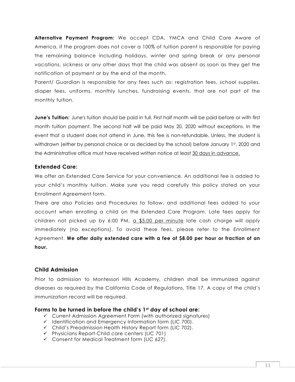**Alternative Payment Program:** We accept CDA, YMCA and Child Care Aware of America, if the program does not cover a 100% of tuition parent is responsible for paying the remaining balance including holidays, winter and spring break or any personal vacations, sickness or any other days that the child was absent as soon as they get the notification of payment or by the end of the month.

Parent/ Guardian is responsible for any fees such as: registration fees, school supplies, diaper fees, uniforms, monthly lunches, fundraising events, that are not part of the monthly tuition.

**June's Tuition:** June's tuition should be paid in full. First half month will be paid before or with first month tuition payment. The second half will be paid May 20, 2020 without exceptions. In the event that a student does not attend in June, this fee is non-refundable. Unless, the student is withdrawn (either by personal choice or as decided by the school) before January 1st, 2020 and the Administrative office must have received written notice at least 30 days in advance.

#### **Extended Care:**

We offer an Extended Care Service for your convenience. An additional fee is added to your child's monthly tuition. Make sure you read carefully this policy stated on your Enrollment Agreement form.

There are also Policies and Procedures to follow, and additional fees added to your account when enrolling a child on the Extended Care Program. Late fees apply for children not picked up by 6:00 PM, a \$5.00 per minute late cash charge will apply immediately (no exceptions). To avoid these fees, please refer to the Enrollment Agreement. **We offer daily extended care with a fee of \$8.00 per hour or fraction of an hour.**

#### **Child Admission**

Prior to admission to Montessori Hills Academy, children shall be immunized against diseases as required by the California Code of Regulations, Title 17. A copy of the child's immunization record will be required.

#### **Forms to be turned in before the child's 1st day of school are:**

- ✓ Current Admission Agreement Form (with authorized signatures)
- ✓ Identification and Emergency Information form (LIC 700).
- ✓ Child's Preadmission Health History Report form (LIC 702).
- ✓ Physicians Report-Child care centers (LIC 701)
- ✓ Consent for Medical Treatment form (LIC 627).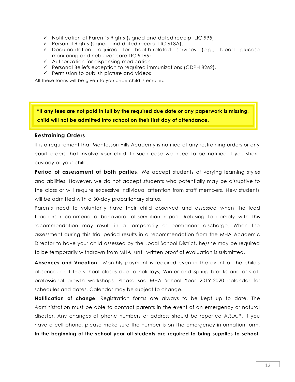- $\checkmark$  Notification of Parent's Rights (signed and dated receipt LIC 995).
- ✓ Personal Rights (signed and dated receipt LIC 613A).
- ✓ Documentation required for health-related services (e.g., blood glucose monitoring and nebulizer care LIC 9166).
- ✓ Authorization for dispensing medication.
- ✓ Personal Beliefs exception to required immunizations (CDPH 8262).
- $\checkmark$  Permission to publish picture and videos

All these forms will be given to you once child is enrolled

**\*If any fees are not paid in full by the required due date or any paperwork is missing, child will not be admitted into school on their first day of attendance.**

#### **Restraining Orders**

It is a requirement that Montessori Hills Academy is notified of any restraining orders or any court orders that involve your child. In such case we need to be notified if you share custody of your child.

Period of assessment of both parties: We accept students of varying learning styles and abilities. However, we do not accept students who potentially may be disruptive to the class or will require excessive individual attention from staff members. New students will be admitted with a 30-day probationary status.

Parents need to voluntarily have their child observed and assessed when the lead teachers recommend a behavioral observation report. Refusing to comply with this recommendation may result in a temporarily or permanent discharge. When the assessment during this trial period results in a recommendation from the MHA Academic Director to have your child assessed by the Local School District, he/she may be required to be temporarily withdrawn from MHA, until written proof of evaluation is submitted.

**Absences and Vacation:** Monthly payment is required even in the event of the child's absence, or if the school closes due to holidays, Winter and Spring breaks and or staff professional growth workshops. Please see MHA School Year 2019-2020 calendar for schedules and dates. Calendar may be subject to change.

**Notification of change:** Registration forms are always to be kept up to date. The Administration must be able to contact parents in the event of an emergency or natural disaster. Any changes of phone numbers or address should be reported A.S.A.P. If you have a cell phone, please make sure the number is on the emergency information form. **In the beginning of the school year all students are required to bring supplies to school.**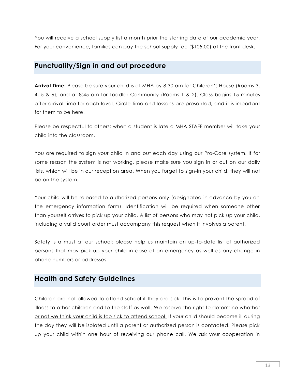You will receive a school supply list a month prior the starting date of our academic year. For your convenience, families can pay the school supply fee (\$105.00) at the front desk.

## **Punctuality/Sign in and out procedure**

**Arrival Time:** Please be sure your child is at MHA by 8:30 am for Children's House (Rooms 3, 4, 5 & 6), and at 8:45 am for Toddler Community (Rooms 1 & 2). Class begins 15 minutes after arrival time for each level. Circle time and lessons are presented, and it is important for them to be here.

Please be respectful to others; when a student is late a MHA STAFF member will take your child into the classroom.

You are required to sign your child in and out each day using our Pro-Care system. If for some reason the system is not working, please make sure you sign in or out on our daily lists, which will be in our reception area. When you forget to sign-in your child, they will not be on the system.

Your child will be released to authorized persons only (designated in advance by you on the emergency information form). Identification will be required when someone other than yourself arrives to pick up your child. A list of persons who may not pick up your child, including a valid court order must accompany this request when it involves a parent.

Safety is a must at our school; please help us maintain an up-to-date list of authorized persons that may pick up your child in case of an emergency as well as any change in phone numbers or addresses.

## **Health and Safety Guidelines**

Children are not allowed to attend school if they are sick. This is to prevent the spread of illness to other children and to the staff as well. We reserve the right to determine whether or not we think your child is too sick to attend school. If your child should become ill during the day they will be isolated until a parent or authorized person is contacted. Please pick up your child within one hour of receiving our phone call. We ask your cooperation in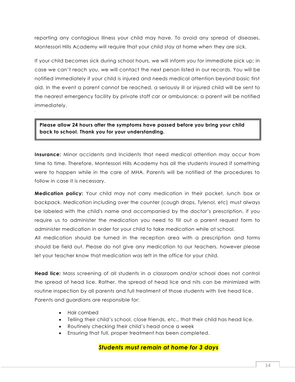reporting any contagious illness your child may have. To avoid any spread of diseases, Montessori Hills Academy will require that your child stay at home when they are sick.

If your child becomes sick during school hours, we will inform you for immediate pick up; in case we can't reach you, we will contact the next person listed in our records. You will be notified immediately if your child is injured and needs medical attention beyond basic first aid. In the event a parent cannot be reached, a seriously ill or injured child will be sent to the nearest emergency facility by private staff car or ambulance; a parent will be notified immediately.

**Please allow 24 hours after the symptoms have passed before you bring your child back to school. Thank you for your understanding.**

**Insurance:** Minor accidents and Incidents that need medical attention may occur from time to time. Therefore, Montessori Hills Academy has all the students insured if something were to happen while in the care of MHA. Parents will be notified of the procedures to follow in case it is necessary.

**Medication policy:** Your child may not carry medication in their pocket, lunch box or backpack. Medication including over the counter (cough drops, Tylenol, etc) must always be labeled with the child's name and accompanied by the doctor's prescription, if you require us to administer the medication you need to fill out a parent request form to administer medication in order for your child to take medication while at school.

All medication should be turned in the reception area with a prescription and forms should be field out. Please do not give any medication to our teachers, however please let your teacher know that medication was left in the office for your child.

**Head lice:** Mass screening of all students in a classroom and/or school does not control the spread of head lice. Rather, the spread of head lice and nits can be minimized with routine inspection by all parents and full treatment of those students with live head lice. Parents and guardians are responsible for:

- Hair combed
- Telling their child's school, close friends, etc., that their child has head lice.
- Routinely checking their child's head once a week
- Ensuring that full, proper treatment has been completed.

### *Students must remain at home for 3 days*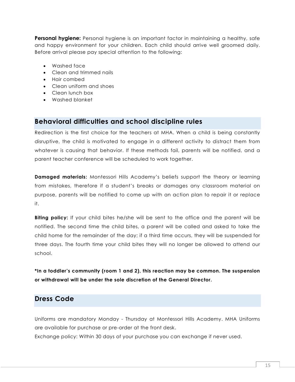**Personal hygiene:** Personal hygiene is an important factor in maintaining a healthy, safe and happy environment for your children. Each child should arrive well groomed daily. Before arrival please pay special attention to the following:

- Washed face
- Clean and trimmed nails
- Hair combed
- Clean uniform and shoes
- Clean lunch box
- Washed blanket

## **Behavioral difficulties and school discipline rules**

Redirection is the first choice for the teachers at MHA. When a child is being constantly disruptive, the child is motivated to engage in a different activity to distract them from whatever is causing that behavior. If these methods fail, parents will be notified, and a parent teacher conference will be scheduled to work together.

**Damaged materials:** Montessori Hills Academy's beliefs support the theory or learning from mistakes, therefore if a student's breaks or damages any classroom material on purpose, parents will be notified to come up with an action plan to repair it or replace it.

**Biting policy:** If your child bites he/she will be sent to the office and the parent will be notified. The second time the child bites, a parent will be called and asked to take the child home for the remainder of the day; if a third time occurs, they will be suspended for three days. The fourth time your child bites they will no longer be allowed to attend our school.

**\*In a toddler's community (room 1 and 2), this reaction may be common. The suspension or withdrawal will be under the sole discretion of the General Director.**

## **Dress Code**

Uniforms are mandatory Monday - Thursday at Montessori Hills Academy. MHA Uniforms are available for purchase or pre-order at the front desk.

Exchange policy: Within 30 days of your purchase you can exchange if never used.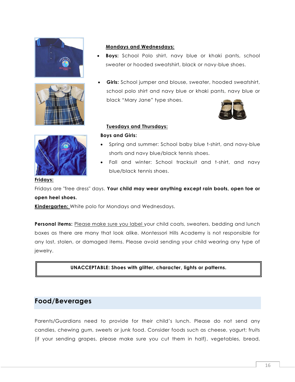





#### **Mondays and Wednesdays:**

- **Boys:** School Polo shirt, navy blue or khaki pants, school sweater or hooded sweatshirt, black or navy-blue shoes.
- **Girls:** School jumper and blouse, sweater, hooded sweatshirt, school polo shirt and navy blue or khaki pants, navy blue or black "Mary Jane" type shoes.



#### **Tuesdays and Thursdays:**

#### **Boys and Girls:**

- Spring and summer: School baby blue t-shirt, and navy-blue shorts and navy blue/black tennis shoes.
- Fall and winter: School tracksuit and t-shirt, and navy blue/black tennis shoes.

#### **Fridays:**

Fridays are "free dress" days. **Your child may wear anything except rain boots, open toe or open heel shoes.**

**Kindergarten:** White polo for Mondays and Wednesdays.

**Personal items:** Please make sure you label your child coats, sweaters, bedding and lunch boxes as there are many that look alike. Montessori Hills Academy is not responsible for any lost, stolen, or damaged items. Please avoid sending your child wearing any type of jewelry.

#### **UNACCEPTABLE: Shoes with glitter, character, lights or patterns.**

## **Food/Beverages**

Parents/Guardians need to provide for their child's lunch. Please do not send any candies, chewing gum, sweets or junk food. Consider foods such as cheese, yogurt; fruits (if your sending grapes, please make sure you cut them in half), vegetables, bread,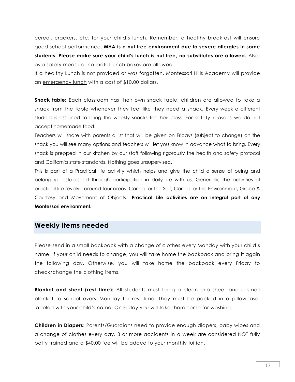cereal, crackers, etc. for your child's lunch. Remember, a healthy breakfast will ensure good school performance. **MHA is a nut free environment due to severe allergies in some students. Please make sure your child's lunch is nut free, no substitutes are allowed.** Also, as a safety measure, no metal lunch boxes are allowed.

If a healthy Lunch is not provided or was forgotten, Montessori Hills Academy will provide an emergency lunch with a cost of \$10.00 dollars.

**Snack table:** Each classroom has their own snack table; children are allowed to take a snack from the table whenever they feel like they need a snack. Every week a different student is assigned to bring the weekly snacks for their class. For safety reasons we do not accept homemade food.

Teachers will share with parents a list that will be given on Fridays (subject to change) on the snack you will see many options and teachers will let you know in advance what to bring. Every snack is prepped in our kitchen by our staff following rigorously the health and safety protocol and California state standards. Nothing goes unsupervised.

This is part of a Practical life activity which helps and give the child a sense of being and belonging, established through participation in daily life with us. Generally, the activities of practical life revolve around four areas: Caring for the Self, Caring for the Environment, Grace & Courtesy and Movement of Objects. **Practical Life activities are an integral part of any Montessori environment.**

## **Weekly items needed**

Please send in a small backpack with a change of clothes every Monday with your child's name. If your child needs to change, you will take home the backpack and bring it again the following day. Otherwise, you will take home the backpack every Friday to check/change the clothing items.

**Blanket and sheet (rest time):** All students must bring a clean crib sheet and a small blanket to school every Monday for rest time. They must be packed in a pillowcase, labeled with your child's name. On Friday you will take them home for washing.

**Children in Diapers:** Parents/Guardians need to provide enough diapers, baby wipes and a change of clothes every day. 3 or more accidents in a week are considered NOT fully potty trained and a \$40.00 fee will be added to your monthly tuition.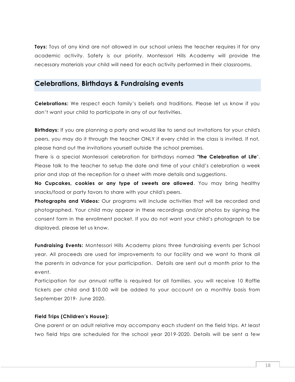**Toys:** Toys of any kind are not allowed in our school unless the teacher requires it for any academic activity. Safety is our priority. Montessori Hills Academy will provide the necessary materials your child will need for each activity performed in their classrooms.

## **Celebrations, Birthdays & Fundraising events**

**Celebrations:** We respect each family's beliefs and traditions. Please let us know if you don't want your child to participate in any of our festivities.

**Birthdays:** If you are planning a party and would like to send out invitations for your child's peers, you may do it through the teacher ONLY if every child in the class is invited. If not, please hand out the invitations yourself outside the school premises.

There is a special Montessori celebration for birthdays named **"the Celebration of Life**". Please talk to the teacher to setup the date and time of your child's celebration a week prior and stop at the reception for a sheet with more details and suggestions.

**No Cupcakes, cookies or any type of sweets are allowed**. You may bring healthy snacks/food or party favors to share with your child's peers.

**Photographs and Videos:** Our programs will include activities that will be recorded and photographed. Your child may appear in these recordings and/or photos by signing the consent form in the enrollment packet. If you do not want your child's photograph to be displayed, please let us know.

**Fundraising Events:** Montessori Hills Academy plans three fundraising events per School year. All proceeds are used for improvements to our facility and we want to thank all the parents in advance for your participation. Details are sent out a month prior to the event.

Participation for our annual raffle is required for all families, you will receive 10 Raffle tickets per child and \$10.00 will be added to your account on a monthly basis from September 2019- June 2020.

#### **Field Trips (Children's House):**

One parent or an adult relative may accompany each student on the field trips. At least two field trips are scheduled for the school year 2019-2020. Details will be sent a few